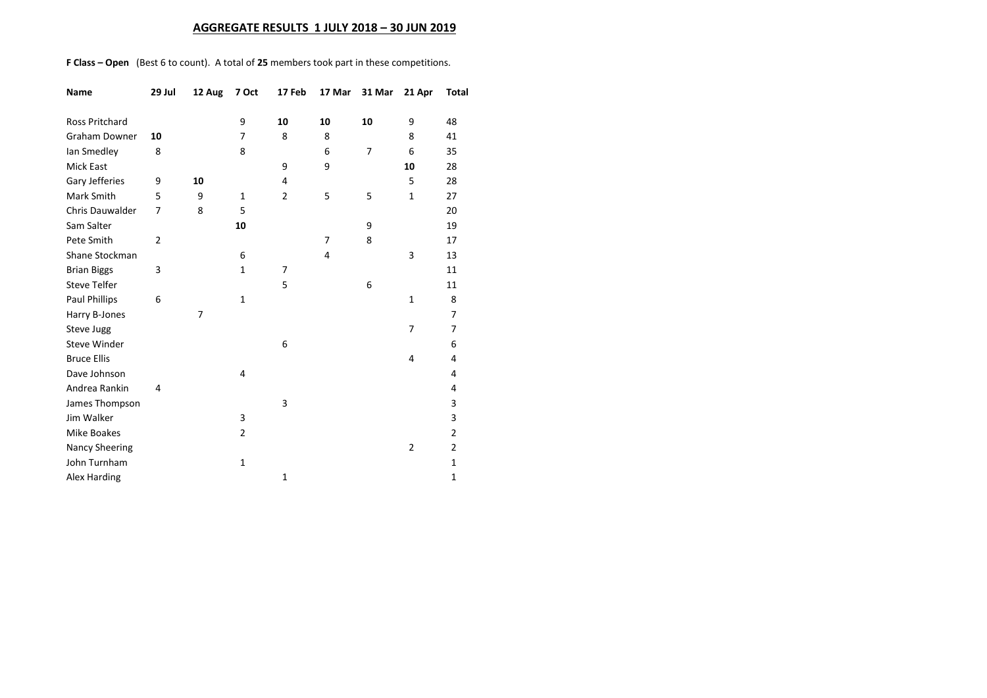## **AGGREGATE RESULTS 1 JULY 2018 – 30 JUN 2019**

**F Class – Open** (Best 6 to count). A total of **25** members took part in these competitions.

| Name                   | 29 Jul         | 12 Aug | 7 Oct          | 17 Feb         | 17 Mar         | 31 Mar | 21 Apr         | <b>Total</b>   |
|------------------------|----------------|--------|----------------|----------------|----------------|--------|----------------|----------------|
| <b>Ross Pritchard</b>  |                |        | 9              | 10             | 10             | 10     | 9              | 48             |
| <b>Graham Downer</b>   | 10             |        | 7              | 8              | 8              |        | 8              | 41             |
| lan Smedley            | 8              |        | 8              |                | 6              | 7      | 6              | 35             |
| <b>Mick East</b>       |                |        |                | 9              | 9              |        | 10             | 28             |
| Gary Jefferies         | 9              | 10     |                | 4              |                |        | 5              | 28             |
| Mark Smith             | 5              | 9      | 1              | $\overline{2}$ | 5              | 5      | $\mathbf{1}$   | 27             |
| <b>Chris Dauwalder</b> | 7              | 8      | 5              |                |                |        |                | 20             |
| Sam Salter             |                |        | 10             |                |                | 9      |                | 19             |
| Pete Smith             | $\overline{2}$ |        |                |                | $\overline{7}$ | 8      |                | 17             |
| Shane Stockman         |                |        | 6              |                | 4              |        | 3              | 13             |
| <b>Brian Biggs</b>     | 3              |        | $\mathbf{1}$   | 7              |                |        |                | 11             |
| <b>Steve Telfer</b>    |                |        |                | 5              |                | 6      |                | 11             |
| Paul Phillips          | 6              |        | $\mathbf{1}$   |                |                |        | $\mathbf{1}$   | 8              |
| Harry B-Jones          |                | 7      |                |                |                |        |                | 7              |
| Steve Jugg             |                |        |                |                |                |        | 7              | $\overline{7}$ |
| <b>Steve Winder</b>    |                |        |                | 6              |                |        |                | 6              |
| <b>Bruce Ellis</b>     |                |        |                |                |                |        | 4              | 4              |
| Dave Johnson           |                |        | 4              |                |                |        |                | 4              |
| Andrea Rankin          | 4              |        |                |                |                |        |                | 4              |
| James Thompson         |                |        |                | 3              |                |        |                | 3              |
| Jim Walker             |                |        | 3              |                |                |        |                | 3              |
| <b>Mike Boakes</b>     |                |        | $\overline{2}$ |                |                |        |                | $\overline{2}$ |
| <b>Nancy Sheering</b>  |                |        |                |                |                |        | $\overline{2}$ | $\overline{2}$ |
| John Turnham           |                |        | $\mathbf{1}$   |                |                |        |                | $\mathbf{1}$   |
| Alex Harding           |                |        |                | $\mathbf{1}$   |                |        |                | $\mathbf{1}$   |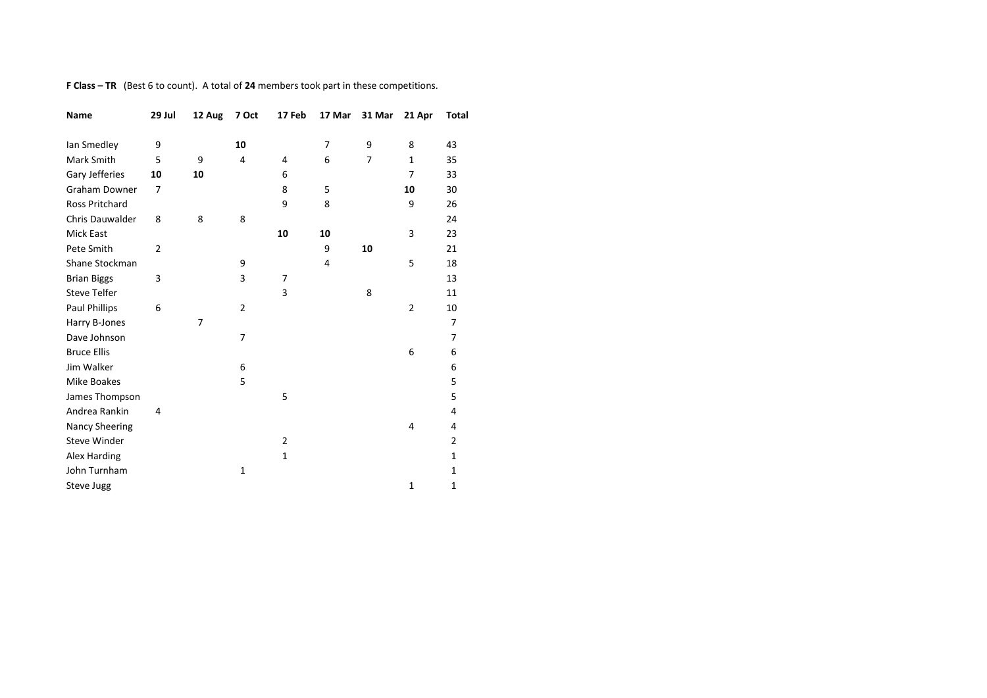**F Class – TR** (Best 6 to count). A total of **24** members took part in these competitions.

| Name                   | 29 Jul         | 12 Aug | 7 Oct          | 17 Feb         | 17 Mar | 31 Mar | 21 Apr         | <b>Total</b>   |
|------------------------|----------------|--------|----------------|----------------|--------|--------|----------------|----------------|
| lan Smedley            | 9              |        | 10             |                | 7      | 9      | 8              | 43             |
| Mark Smith             | 5              | 9      | 4              | 4              | 6      | 7      | $\mathbf{1}$   | 35             |
| Gary Jefferies         | 10             | 10     |                | 6              |        |        | 7              | 33             |
| <b>Graham Downer</b>   | 7              |        |                | 8              | 5      |        | 10             | 30             |
| <b>Ross Pritchard</b>  |                |        |                | 9              | 8      |        | 9              | 26             |
| <b>Chris Dauwalder</b> | 8              | 8      | 8              |                |        |        |                | 24             |
| Mick East              |                |        |                | 10             | 10     |        | 3              | 23             |
| Pete Smith             | $\overline{2}$ |        |                |                | 9      | 10     |                | 21             |
| Shane Stockman         |                |        | 9              |                | 4      |        | 5              | 18             |
| <b>Brian Biggs</b>     | 3              |        | 3              | 7              |        |        |                | 13             |
| <b>Steve Telfer</b>    |                |        |                | 3              |        | 8      |                | 11             |
| Paul Phillips          | 6              |        | $\overline{2}$ |                |        |        | $\overline{2}$ | 10             |
| Harry B-Jones          |                | 7      |                |                |        |        |                | 7              |
| Dave Johnson           |                |        | $\overline{7}$ |                |        |        |                | $\overline{7}$ |
| <b>Bruce Ellis</b>     |                |        |                |                |        |        | 6              | 6              |
| Jim Walker             |                |        | 6              |                |        |        |                | 6              |
| Mike Boakes            |                |        | 5              |                |        |        |                | 5              |
| James Thompson         |                |        |                | 5              |        |        |                | 5              |
| Andrea Rankin          | 4              |        |                |                |        |        |                | 4              |
| Nancy Sheering         |                |        |                |                |        |        | 4              | 4              |
| Steve Winder           |                |        |                | $\overline{2}$ |        |        |                | $\overline{2}$ |
| Alex Harding           |                |        |                | $\mathbf{1}$   |        |        |                | 1              |
| John Turnham           |                |        | $\mathbf{1}$   |                |        |        |                | 1              |
| Steve Jugg             |                |        |                |                |        |        | $\mathbf 1$    | 1              |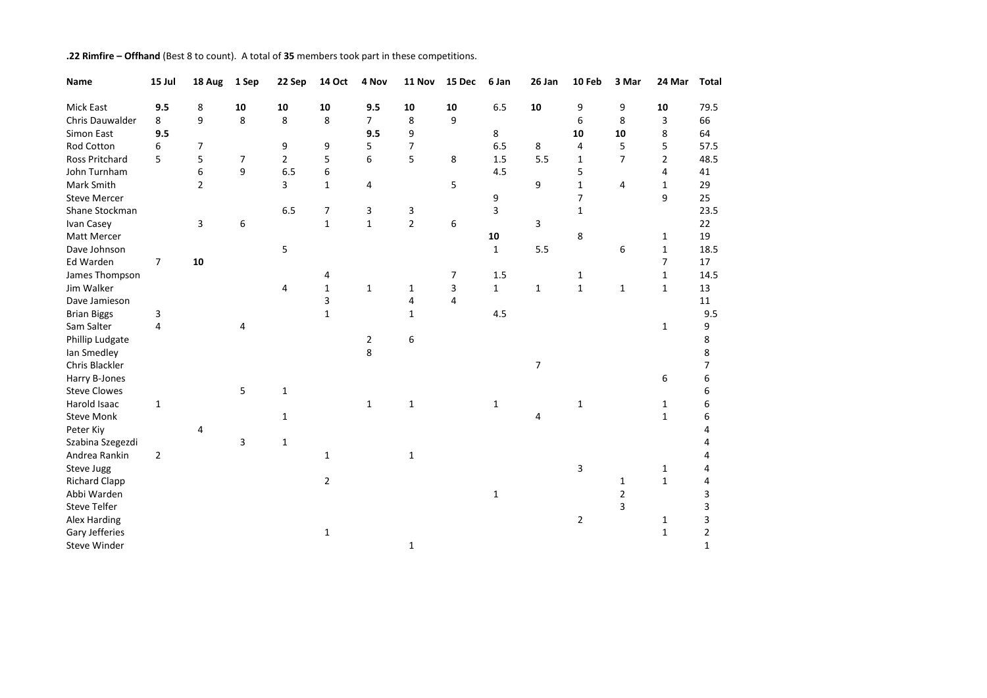| .22 Rimfire - Offhand (Best 8 to count). A total of 35 members took part in these competitions. |
|-------------------------------------------------------------------------------------------------|
|                                                                                                 |

| Name                  | 15 Jul         | 18 Aug         | 1 Sep          | 22 Sep         | <b>14 Oct</b>  | 4 Nov          | 11 Nov         | 15 Dec | 6 Jan        | 26 Jan         | 10 Feb         | 3 Mar          | 24 Mar         | <b>Total</b>   |
|-----------------------|----------------|----------------|----------------|----------------|----------------|----------------|----------------|--------|--------------|----------------|----------------|----------------|----------------|----------------|
| Mick East             | 9.5            | 8              | 10             | 10             | 10             | 9.5            | 10             | 10     | 6.5          | 10             | 9              | 9              | 10             | 79.5           |
| Chris Dauwalder       | 8              | 9              | 8              | 8              | 8              | $\overline{7}$ | 8              | 9      |              |                | 6              | 8              | 3              | 66             |
| Simon East            | 9.5            |                |                |                |                | 9.5            | 9              |        | 8            |                | 10             | 10             | 8              | 64             |
| Rod Cotton            | 6              | 7              |                | 9              | 9              | 5              | 7              |        | 6.5          | 8              | 4              | 5              | 5              | 57.5           |
| Ross Pritchard        | 5              | 5              | $\overline{7}$ | $\overline{2}$ | 5              | 6              | 5              | 8      | 1.5          | 5.5            | $\mathbf{1}$   | $\overline{7}$ | $\overline{2}$ | 48.5           |
| John Turnham          |                | 6              | 9              | 6.5            | 6              |                |                |        | 4.5          |                | 5              |                | 4              | 41             |
| Mark Smith            |                | $\overline{2}$ |                | 3              | $\mathbf{1}$   | 4              |                | 5      |              | 9              | $\mathbf{1}$   | 4              | $1\,$          | 29             |
| <b>Steve Mercer</b>   |                |                |                |                |                |                |                |        | 9            |                | $\overline{7}$ |                | 9              | 25             |
| Shane Stockman        |                |                |                | 6.5            | 7              | 3              | 3              |        | 3            |                | $\mathbf{1}$   |                |                | 23.5           |
| Ivan Casey            |                | 3              | 6              |                | $\mathbf{1}$   | $\mathbf{1}$   | $\overline{2}$ | 6      |              | 3              |                |                |                | 22             |
| <b>Matt Mercer</b>    |                |                |                |                |                |                |                |        | 10           |                | 8              |                | $\mathbf{1}$   | 19             |
| Dave Johnson          |                |                |                | 5              |                |                |                |        | $\mathbf{1}$ | 5.5            |                | 6              | $1\,$          | 18.5           |
| Ed Warden             | $\overline{7}$ | 10             |                |                |                |                |                |        |              |                |                |                | $\overline{7}$ | 17             |
| James Thompson        |                |                |                |                | 4              |                |                | 7      | 1.5          |                | 1              |                | $1\,$          | 14.5           |
| Jim Walker            |                |                |                | 4              | $\mathbf 1$    | $\mathbf{1}$   | $\mathbf{1}$   | 3      | $\mathbf{1}$ | $\mathbf{1}$   | $\mathbf{1}$   | $\mathbf{1}$   | $1\,$          | 13             |
| Dave Jamieson         |                |                |                |                | 3              |                | 4              | 4      |              |                |                |                |                | 11             |
| <b>Brian Biggs</b>    | 3              |                |                |                | $\mathbf{1}$   |                | $\mathbf{1}$   |        | 4.5          |                |                |                |                | 9.5            |
| Sam Salter            | 4              |                | 4              |                |                |                |                |        |              |                |                |                | 1              | 9              |
| Phillip Ludgate       |                |                |                |                |                | $\overline{2}$ | 6              |        |              |                |                |                |                | 8              |
| lan Smedley           |                |                |                |                |                | 8              |                |        |              |                |                |                |                | 8              |
| <b>Chris Blackler</b> |                |                |                |                |                |                |                |        |              | $\overline{7}$ |                |                |                | $\overline{7}$ |
| Harry B-Jones         |                |                |                |                |                |                |                |        |              |                |                |                | 6              | 6              |
| <b>Steve Clowes</b>   |                |                | 5              | $\mathbf{1}$   |                |                |                |        |              |                |                |                |                | 6              |
| Harold Isaac          | $\mathbf{1}$   |                |                |                |                | $\mathbf{1}$   | $\mathbf 1$    |        | $\mathbf{1}$ |                | $\mathbf{1}$   |                | 1              | 6              |
| <b>Steve Monk</b>     |                |                |                | $\mathbf{1}$   |                |                |                |        |              | 4              |                |                | $\mathbf{1}$   | 6              |
| Peter Kiy             |                | 4              |                |                |                |                |                |        |              |                |                |                |                | 4              |
| Szabina Szegezdi      |                |                | 3              | $\mathbf 1$    |                |                |                |        |              |                |                |                |                | 4              |
| Andrea Rankin         | $\overline{2}$ |                |                |                | $\mathbf{1}$   |                | $\mathbf 1$    |        |              |                |                |                |                | 4              |
| Steve Jugg            |                |                |                |                |                |                |                |        |              |                | 3              |                | 1              | 4              |
| <b>Richard Clapp</b>  |                |                |                |                | $\overline{2}$ |                |                |        |              |                |                | 1              | $\mathbf 1$    | 4              |
| Abbi Warden           |                |                |                |                |                |                |                |        | $\mathbf{1}$ |                |                | 2              |                | 3              |
| <b>Steve Telfer</b>   |                |                |                |                |                |                |                |        |              |                |                | 3              |                | 3              |
| Alex Harding          |                |                |                |                |                |                |                |        |              |                | $\overline{2}$ |                | 1              | 3              |
| Gary Jefferies        |                |                |                |                | $\mathbf{1}$   |                |                |        |              |                |                |                | $\mathbf 1$    | $\overline{2}$ |
| Steve Winder          |                |                |                |                |                |                | $\mathbf 1$    |        |              |                |                |                |                | $\mathbf{1}$   |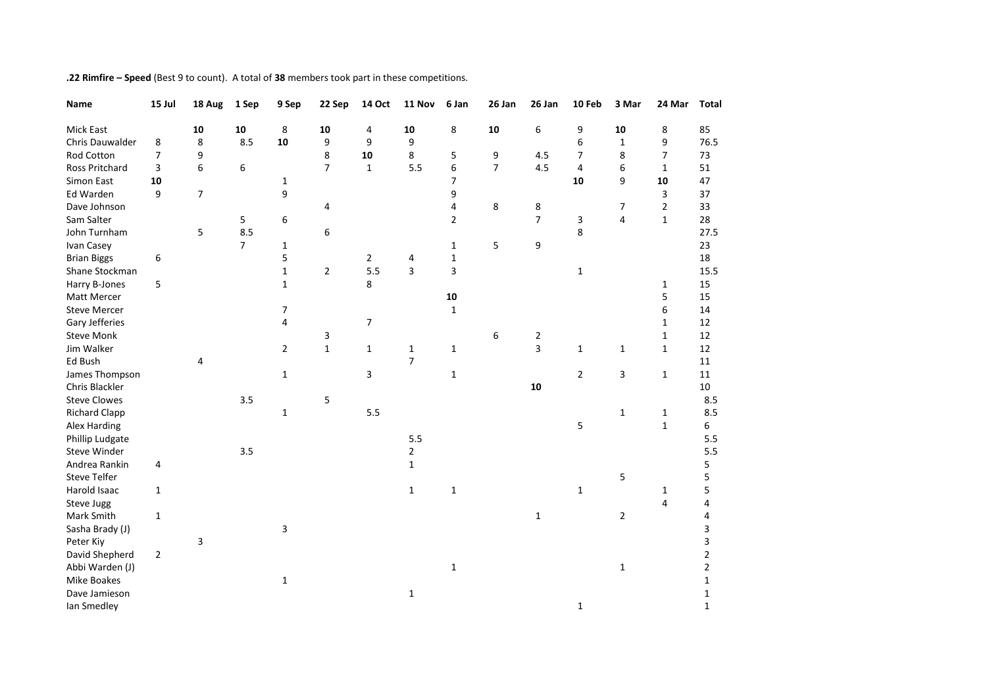| Name                 | 15 Jul         | 18 Aug | 1 Sep          | 9 Sep          | 22 Sep         | <b>14 Oct</b>  | 11 Nov         | 6 Jan          | 26 Jan         | 26 Jan         | 10 Feb         | 3 Mar          | 24 Mar         | <b>Total</b>   |
|----------------------|----------------|--------|----------------|----------------|----------------|----------------|----------------|----------------|----------------|----------------|----------------|----------------|----------------|----------------|
| <b>Mick East</b>     |                | 10     | 10             | 8              | 10             | 4              | 10             | 8              | 10             | 6              | 9              | 10             | 8              | 85             |
| Chris Dauwalder      | 8              | 8      | 8.5            | 10             | 9              | 9              | 9              |                |                |                | 6              | $\mathbf 1$    | 9              | 76.5           |
| Rod Cotton           | 7              | 9      |                |                | 8              | 10             | 8              | 5              | 9              | 4.5            | $\overline{7}$ | 8              | $\overline{7}$ | 73             |
| Ross Pritchard       | 3              | 6      | 6              |                | $\overline{7}$ | $\mathbf{1}$   | 5.5            | 6              | $\overline{7}$ | 4.5            | 4              | 6              | $\mathbf{1}$   | 51             |
| Simon East           | 10             |        |                | 1              |                |                |                | $\overline{7}$ |                |                | 10             | 9              | ${\bf 10}$     | 47             |
| Ed Warden            | 9              | 7      |                | 9              |                |                |                | 9              |                |                |                |                | 3              | 37             |
| Dave Johnson         |                |        |                |                | 4              |                |                | 4              | 8              | 8              |                | 7              | $\overline{2}$ | 33             |
| Sam Salter           |                |        | 5              | 6              |                |                |                | $\overline{2}$ |                | $\overline{7}$ | 3              | 4              | $\mathbf{1}$   | 28             |
| John Turnham         |                | 5      | 8.5            |                | 6              |                |                |                |                |                | 8              |                |                | 27.5           |
| Ivan Casey           |                |        | $\overline{7}$ | $\mathbf{1}$   |                |                |                | $\mathbf{1}$   | 5              | 9              |                |                |                | 23             |
| <b>Brian Biggs</b>   | 6              |        |                | 5              |                | $\overline{2}$ | 4              | $\mathbf{1}$   |                |                |                |                |                | 18             |
| Shane Stockman       |                |        |                | $\mathbf{1}$   | $\overline{2}$ | 5.5            | 3              | 3              |                |                | $\mathbf{1}$   |                |                | 15.5           |
| Harry B-Jones        | 5              |        |                | $\mathbf{1}$   |                | 8              |                |                |                |                |                |                | $\mathbf{1}$   | 15             |
| Matt Mercer          |                |        |                |                |                |                |                | ${\bf 10}$     |                |                |                |                | 5              | 15             |
| <b>Steve Mercer</b>  |                |        |                | $\overline{7}$ |                |                |                | $\mathbf{1}$   |                |                |                |                | 6              | 14             |
| Gary Jefferies       |                |        |                | 4              |                | $\overline{7}$ |                |                |                |                |                |                | $\mathbf{1}$   | 12             |
| <b>Steve Monk</b>    |                |        |                |                | 3              |                |                |                | 6              | $\overline{2}$ |                |                | $\mathbf{1}$   | 12             |
| Jim Walker           |                |        |                | $\overline{2}$ | $\mathbf{1}$   | $\mathbf{1}$   | 1              | $\mathbf{1}$   |                | 3              | $\mathbf{1}$   | $\mathbf{1}$   | $\mathbf{1}$   | 12             |
| Ed Bush              |                | 4      |                |                |                |                | $\overline{7}$ |                |                |                |                |                |                | 11             |
| James Thompson       |                |        |                | $\mathbf{1}$   |                | 3              |                | $\mathbf 1$    |                |                | $\overline{2}$ | 3              | $\mathbf 1$    | 11             |
| Chris Blackler       |                |        |                |                |                |                |                |                |                | 10             |                |                |                | $10\,$         |
| <b>Steve Clowes</b>  |                |        | 3.5            |                | 5              |                |                |                |                |                |                |                |                | 8.5            |
| <b>Richard Clapp</b> |                |        |                | $\mathbf{1}$   |                | 5.5            |                |                |                |                |                | $\mathbf 1$    | $\mathbf{1}$   | 8.5            |
| Alex Harding         |                |        |                |                |                |                |                |                |                |                | 5              |                | $\mathbf 1$    | 6              |
| Phillip Ludgate      |                |        |                |                |                |                | 5.5            |                |                |                |                |                |                | 5.5            |
| <b>Steve Winder</b>  |                |        | 3.5            |                |                |                | $\overline{2}$ |                |                |                |                |                |                | 5.5            |
| Andrea Rankin        | 4              |        |                |                |                |                | $\mathbf{1}$   |                |                |                |                |                |                | 5              |
| <b>Steve Telfer</b>  |                |        |                |                |                |                |                |                |                |                |                | 5              |                | 5              |
| Harold Isaac         | $\mathbf{1}$   |        |                |                |                |                | $\mathbf{1}$   | $\mathbf{1}$   |                |                | $\mathbf{1}$   |                | 1              | 5              |
| Steve Jugg           |                |        |                |                |                |                |                |                |                |                |                |                | 4              | 4              |
| Mark Smith           | $\mathbf 1$    |        |                |                |                |                |                |                |                | $\mathbf{1}$   |                | $\overline{2}$ |                | 4              |
| Sasha Brady (J)      |                |        |                | 3              |                |                |                |                |                |                |                |                |                | 3              |
| Peter Kiy            |                | 3      |                |                |                |                |                |                |                |                |                |                |                | 3              |
| David Shepherd       | $\overline{2}$ |        |                |                |                |                |                |                |                |                |                |                |                | $\overline{2}$ |
| Abbi Warden (J)      |                |        |                |                |                |                |                | $\mathbf{1}$   |                |                |                | $\mathbf 1$    |                | $\overline{2}$ |
| <b>Mike Boakes</b>   |                |        |                | 1              |                |                |                |                |                |                |                |                |                | $\mathbf{1}$   |
| Dave Jamieson        |                |        |                |                |                |                | $\mathbf{1}$   |                |                |                |                |                |                | $\mathbf{1}$   |
| Ian Smedley          |                |        |                |                |                |                |                |                |                |                | $\mathbf{1}$   |                |                | $\mathbf{1}$   |

**.22 Rimfire – Speed** (Best 9 to count). A total of **38** members took part in these competitions.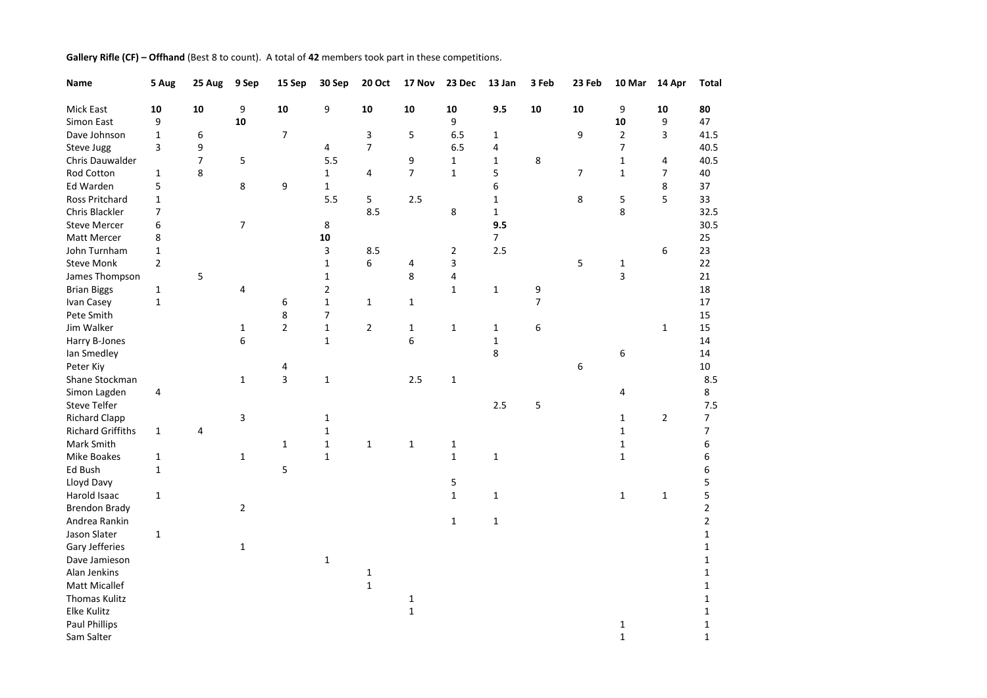| Name                     | 5 Aug          | 25 Aug | 9 Sep          | 15 Sep         | 30 Sep         | <b>20 Oct</b>  | 17 Nov                      | 23 Dec         | 13 Jan       | 3 Feb | 23 Feb | 10 Mar                       | 14 Apr         | <b>Total</b>   |
|--------------------------|----------------|--------|----------------|----------------|----------------|----------------|-----------------------------|----------------|--------------|-------|--------|------------------------------|----------------|----------------|
| Mick East                | 10             | 10     | 9              | 10             | 9              | ${\bf 10}$     | 10                          | 10             | 9.5          | 10    | 10     | 9                            | 10             | 80             |
| Simon East               | 9              |        | ${\bf 10}$     |                |                |                |                             | 9              |              |       |        | 10                           | 9              | 47             |
| Dave Johnson             | $\mathbf{1}$   | 6      |                | $\overline{7}$ |                | 3              | 5                           | 6.5            | 1            |       | 9      | $\overline{2}$               | 3              | 41.5           |
| Steve Jugg               | 3              | 9      |                |                | 4              | $\overline{7}$ |                             | 6.5            | 4            |       |        | 7                            |                | 40.5           |
| Chris Dauwalder          |                | 7      | 5              |                | 5.5            |                | 9                           | $\mathbf{1}$   | 1            | 8     |        | $\mathbf{1}$                 | 4              | 40.5           |
| Rod Cotton               | $\mathbf{1}$   | 8      |                |                | $\mathbf{1}$   | 4              | $\overline{7}$              | $\mathbf{1}$   | 5            |       | 7      | $\mathbf{1}$                 | $\overline{7}$ | 40             |
| Ed Warden                | 5              |        | 8              | 9              | $\mathbf{1}$   |                |                             |                | 6            |       |        |                              | 8              | 37             |
| Ross Pritchard           | $\mathbf{1}$   |        |                |                | 5.5            | 5              | 2.5                         |                | 1            |       | 8      | 5                            | 5              | 33             |
| Chris Blackler           | 7              |        |                |                |                | 8.5            |                             | 8              | $\mathbf 1$  |       |        | 8                            |                | 32.5           |
| <b>Steve Mercer</b>      | 6              |        | $\overline{7}$ |                | 8              |                |                             |                | 9.5          |       |        |                              |                | 30.5           |
| Matt Mercer              | 8              |        |                |                | 10             |                |                             |                | 7            |       |        |                              |                | 25             |
| John Turnham             | $\mathbf 1$    |        |                |                | 3              | 8.5            |                             | $\overline{2}$ | 2.5          |       |        |                              | 6              | 23             |
| <b>Steve Monk</b>        | $\overline{2}$ |        |                |                | $\mathbf{1}$   | 6              | 4                           | 3              |              |       | 5      | $\mathbf{1}$                 |                | 22             |
| James Thompson           |                | 5      |                |                | $\mathbf 1$    |                | 8                           | 4              |              |       |        | 3                            |                | 21             |
| <b>Brian Biggs</b>       | 1              |        | 4              |                | $\overline{2}$ |                |                             | $\mathbf{1}$   | $\mathbf 1$  | 9     |        |                              |                | 18             |
| Ivan Casey               | $\mathbf 1$    |        |                | 6              | $\mathbf 1$    | 1              | 1                           |                |              | 7     |        |                              |                | 17             |
| Pete Smith               |                |        |                | 8              | 7              |                |                             |                |              |       |        |                              |                | 15             |
| Jim Walker               |                |        | $\mathbf{1}$   | $\overline{2}$ | $\mathbf 1$    | $\overline{2}$ | $\mathbf{1}$                | $\mathbf{1}$   | 1            | 6     |        |                              | $\mathbf{1}$   | 15             |
| Harry B-Jones            |                |        | 6              |                | $\mathbf{1}$   |                | 6                           |                | 1            |       |        |                              |                | 14             |
| Ian Smedley              |                |        |                |                |                |                |                             |                | 8            |       |        | 6                            |                | 14             |
| Peter Kiy                |                |        |                | 4              |                |                |                             |                |              |       | 6      |                              |                | 10             |
| Shane Stockman           |                |        | $\mathbf{1}$   | 3              | $\mathbf{1}$   |                | 2.5                         | $\mathbf 1$    |              |       |        |                              |                | 8.5            |
| Simon Lagden             | 4              |        |                |                |                |                |                             |                |              |       |        | 4                            |                | 8              |
| <b>Steve Telfer</b>      |                |        |                |                |                |                |                             |                | 2.5          | 5     |        |                              |                | 7.5            |
| <b>Richard Clapp</b>     |                |        | 3              |                | $\mathbf 1$    |                |                             |                |              |       |        | $\mathbf{1}$                 | $\overline{2}$ | $\overline{7}$ |
| <b>Richard Griffiths</b> | $\mathbf{1}$   | 4      |                |                | $\mathbf 1$    |                |                             |                |              |       |        | $\mathbf{1}$                 |                | $\overline{7}$ |
| Mark Smith               |                |        |                | $\mathbf{1}$   | $\mathbf 1$    | $\mathbf{1}$   | $\mathbf{1}$                | $\mathbf{1}$   |              |       |        | $\mathbf{1}$                 |                | 6              |
| Mike Boakes              | 1              |        | $\mathbf{1}$   |                | $\mathbf{1}$   |                |                             | $\mathbf{1}$   | 1            |       |        | $\mathbf{1}$                 |                | 6              |
| Ed Bush                  | $\mathbf{1}$   |        |                | 5              |                |                |                             |                |              |       |        |                              |                | 6              |
| Lloyd Davy               |                |        |                |                |                |                |                             | 5              |              |       |        |                              |                | 5              |
| Harold Isaac             | $\mathbf{1}$   |        |                |                |                |                |                             | $\mathbf{1}$   | $\mathbf 1$  |       |        | $\mathbf{1}$                 | $\mathbf{1}$   | 5              |
| <b>Brendon Brady</b>     |                |        | $\overline{2}$ |                |                |                |                             |                |              |       |        |                              |                | $\overline{2}$ |
| Andrea Rankin            |                |        |                |                |                |                |                             | $\mathbf{1}$   | $\mathbf{1}$ |       |        |                              |                | $\overline{2}$ |
| Jason Slater             | $\mathbf{1}$   |        |                |                |                |                |                             |                |              |       |        |                              |                | $\mathbf{1}$   |
| Gary Jefferies           |                |        | $\mathbf{1}$   |                |                |                |                             |                |              |       |        |                              |                | $\mathbf{1}$   |
| Dave Jamieson            |                |        |                |                | $\mathbf{1}$   |                |                             |                |              |       |        |                              |                | $\mathbf{1}$   |
| Alan Jenkins             |                |        |                |                |                | $\mathbf{1}$   |                             |                |              |       |        |                              |                | $\mathbf{1}$   |
| <b>Matt Micallef</b>     |                |        |                |                |                | $\mathbf{1}$   |                             |                |              |       |        |                              |                | $\mathbf{1}$   |
| Thomas Kulitz            |                |        |                |                |                |                |                             |                |              |       |        |                              |                | $\mathbf{1}$   |
| Elke Kulitz              |                |        |                |                |                |                | $\mathbf{1}$<br>$\mathbf 1$ |                |              |       |        |                              |                | $\mathbf{1}$   |
| <b>Paul Phillips</b>     |                |        |                |                |                |                |                             |                |              |       |        |                              |                |                |
|                          |                |        |                |                |                |                |                             |                |              |       |        | $\mathbf{1}$<br>$\mathbf{1}$ |                | $\mathbf{1}$   |
| Sam Salter               |                |        |                |                |                |                |                             |                |              |       |        |                              |                | $\mathbf{1}$   |

**Gallery Rifle (CF) – Offhand** (Best 8 to count). A total of **42** members took part in these competitions.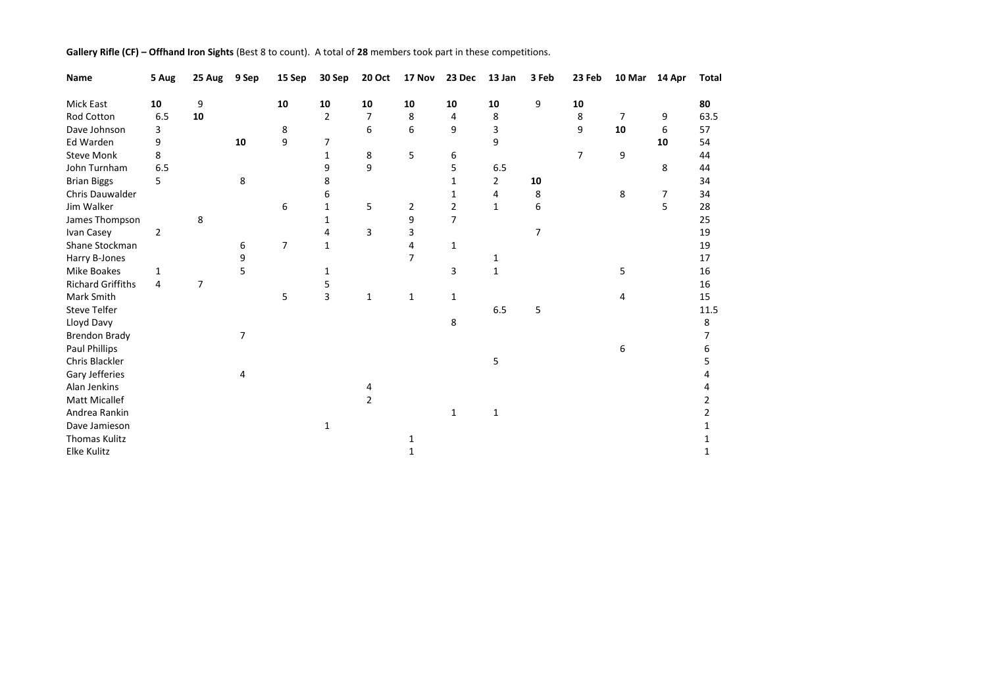|  | Gallery Rifle (CF) - Offhand Iron Sights (Best 8 to count). A total of 28 members took part in these competitions. |  |
|--|--------------------------------------------------------------------------------------------------------------------|--|
|--|--------------------------------------------------------------------------------------------------------------------|--|

| Name                     | 5 Aug | 25 Aug         | 9 Sep | 15 Sep | 30 Sep         | <b>20 Oct</b>  | 17 Nov         | 23 Dec         | 13 Jan         | 3 Feb | 23 Feb         | 10 Mar | 14 Apr | <b>Total</b>   |
|--------------------------|-------|----------------|-------|--------|----------------|----------------|----------------|----------------|----------------|-------|----------------|--------|--------|----------------|
| Mick East                | 10    | 9              |       | 10     | 10             | 10             | 10             | 10             | 10             | 9     | 10             |        |        | 80             |
| Rod Cotton               | 6.5   | 10             |       |        | $\overline{2}$ | $\overline{7}$ | 8              | 4              | 8              |       | 8              | 7      | 9      | 63.5           |
| Dave Johnson             | 3     |                |       | 8      |                | 6              | 6              | 9              | 3              |       | 9              | 10     | 6      | 57             |
| Ed Warden                | 9     |                | 10    | 9      | 7              |                |                |                | 9              |       |                |        | 10     | 54             |
| <b>Steve Monk</b>        | 8     |                |       |        | $\mathbf{1}$   | 8              | 5              | 6              |                |       | $\overline{7}$ | 9      |        | 44             |
| John Turnham             | 6.5   |                |       |        | 9              | 9              |                | 5              | 6.5            |       |                |        | 8      | 44             |
| <b>Brian Biggs</b>       | 5.    |                | 8     |        | 8              |                |                | 1              | $\overline{2}$ | 10    |                |        |        | 34             |
| Chris Dauwalder          |       |                |       |        | 6              |                |                | 1              | 4              | 8     |                | 8      | 7      | 34             |
| Jim Walker               |       |                |       | 6      | $\mathbf 1$    | 5              | $\overline{2}$ | $\overline{2}$ | $\mathbf{1}$   | 6     |                |        | 5      | 28             |
| James Thompson           |       | 8              |       |        | 1              |                | 9              | $\overline{7}$ |                |       |                |        |        | 25             |
| Ivan Casey               | 2     |                |       |        | 4              | 3              | 3              |                |                | 7     |                |        |        | 19             |
| Shane Stockman           |       |                | 6     | 7      | $\mathbf{1}$   |                | 4              | $\mathbf{1}$   |                |       |                |        |        | 19             |
| Harry B-Jones            |       |                | 9     |        |                |                | $\overline{7}$ |                | 1              |       |                |        |        | 17             |
| Mike Boakes              | 1     |                | 5     |        | 1              |                |                | 3              | $\mathbf{1}$   |       |                | 5      |        | 16             |
| <b>Richard Griffiths</b> | 4     | $\overline{7}$ |       |        | 5              |                |                |                |                |       |                |        |        | 16             |
| Mark Smith               |       |                |       | 5      | 3              | 1              | 1              | 1              |                |       |                | 4      |        | 15             |
| <b>Steve Telfer</b>      |       |                |       |        |                |                |                |                | 6.5            | 5     |                |        |        | 11.5           |
| Lloyd Davy               |       |                |       |        |                |                |                | 8              |                |       |                |        |        | 8              |
| <b>Brendon Brady</b>     |       |                | 7     |        |                |                |                |                |                |       |                |        |        | 7              |
| Paul Phillips            |       |                |       |        |                |                |                |                |                |       |                | 6      |        | 6              |
| Chris Blackler           |       |                |       |        |                |                |                |                | 5              |       |                |        |        | 5              |
| Gary Jefferies           |       |                | 4     |        |                |                |                |                |                |       |                |        |        | Δ              |
| Alan Jenkins             |       |                |       |        |                | 4              |                |                |                |       |                |        |        |                |
| <b>Matt Micallef</b>     |       |                |       |        |                | $\overline{2}$ |                |                |                |       |                |        |        | 2              |
| Andrea Rankin            |       |                |       |        |                |                |                | $\mathbf{1}$   | $\mathbf{1}$   |       |                |        |        | $\overline{2}$ |
| Dave Jamieson            |       |                |       |        | 1              |                |                |                |                |       |                |        |        | 1              |
| <b>Thomas Kulitz</b>     |       |                |       |        |                |                | 1              |                |                |       |                |        |        |                |
| Elke Kulitz              |       |                |       |        |                |                | 1              |                |                |       |                |        |        | 1              |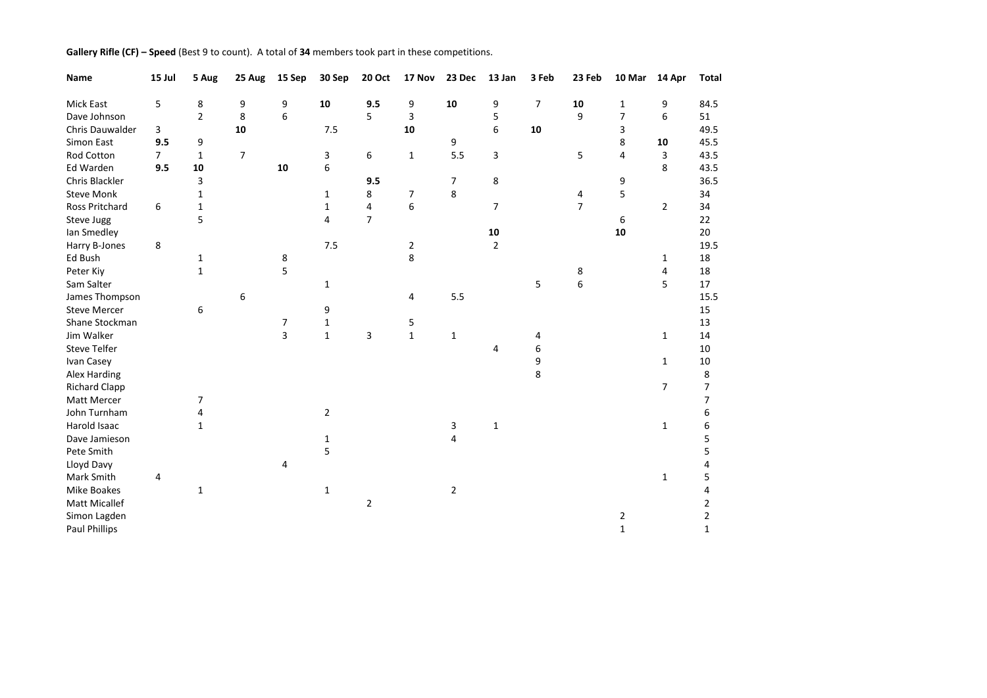| Gallery Rifle (CF) - Speed (Best 9 to count). A total of 34 members took part in these competitions. |  |  |  |
|------------------------------------------------------------------------------------------------------|--|--|--|
|------------------------------------------------------------------------------------------------------|--|--|--|

| Name                  | 15 Jul      | 5 Aug          | 25 Aug         | 15 Sep         | 30 Sep         | <b>20 Oct</b>  | 17 Nov         | 23 Dec         | 13 Jan         | 3 Feb | 23 Feb           | 10 Mar         | 14 Apr         | <b>Total</b>   |
|-----------------------|-------------|----------------|----------------|----------------|----------------|----------------|----------------|----------------|----------------|-------|------------------|----------------|----------------|----------------|
| Mick East             | 5           | 8              | 9              | 9              | 10             | 9.5            | 9              | 10             | 9              | 7     | 10               | $\mathbf{1}$   | 9              | 84.5           |
| Dave Johnson          |             | $\overline{2}$ | 8              | 6              |                | 5              | 3              |                | 5              |       | 9                | $\overline{7}$ | 6              | 51             |
| Chris Dauwalder       | 3           |                | 10             |                | 7.5            |                | 10             |                | 6              | 10    |                  | 3              |                | 49.5           |
| Simon East            | 9.5         | 9              |                |                |                |                |                | 9              |                |       |                  | 8              | 10             | 45.5           |
| <b>Rod Cotton</b>     | $7^{\circ}$ | $\mathbf{1}$   | $\overline{7}$ |                | 3              | 6              | $\mathbf 1$    | 5.5            | 3              |       | 5                | 4              | 3              | 43.5           |
| Ed Warden             | 9.5         | 10             |                | 10             | 6              |                |                |                |                |       |                  |                | 8              | 43.5           |
| Chris Blackler        |             | 3              |                |                |                | 9.5            |                | 7              | 8              |       |                  | 9              |                | 36.5           |
| <b>Steve Monk</b>     |             | $\mathbf{1}$   |                |                | 1              | 8              | 7              | 8              |                |       | 4                | 5              |                | 34             |
| <b>Ross Pritchard</b> | 6           | $\mathbf{1}$   |                |                | $\mathbf{1}$   | 4              | 6              |                | $\overline{7}$ |       | $\overline{7}$   |                | $\overline{2}$ | 34             |
| Steve Jugg            |             | 5              |                |                | 4              | $\overline{7}$ |                |                |                |       |                  | 6              |                | 22             |
| Ian Smedley           |             |                |                |                |                |                |                |                | 10             |       |                  | 10             |                | 20             |
| Harry B-Jones         | 8           |                |                |                | 7.5            |                | $\overline{2}$ |                | $\overline{2}$ |       |                  |                |                | 19.5           |
| Ed Bush               |             | 1              |                | 8              |                |                | 8              |                |                |       |                  |                | 1              | 18             |
| Peter Kiy             |             | $\mathbf{1}$   |                | 5              |                |                |                |                |                |       | 8                |                | 4              | 18             |
| Sam Salter            |             |                |                |                | $\mathbf 1$    |                |                |                |                | 5     | $\boldsymbol{6}$ |                | 5              | 17             |
| James Thompson        |             |                | 6              |                |                |                | 4              | 5.5            |                |       |                  |                |                | 15.5           |
| <b>Steve Mercer</b>   |             | 6              |                |                | 9              |                |                |                |                |       |                  |                |                | 15             |
| Shane Stockman        |             |                |                | $\overline{7}$ | $\mathbf 1$    |                | 5              |                |                |       |                  |                |                | 13             |
| Jim Walker            |             |                |                | 3              | $\mathbf{1}$   | 3              | $\mathbf 1$    | $\mathbf 1$    |                | 4     |                  |                | $\mathbf{1}$   | 14             |
| <b>Steve Telfer</b>   |             |                |                |                |                |                |                |                | 4              | 6     |                  |                |                | 10             |
| Ivan Casey            |             |                |                |                |                |                |                |                |                | 9     |                  |                | $\mathbf{1}$   | 10             |
| Alex Harding          |             |                |                |                |                |                |                |                |                | 8     |                  |                |                | 8              |
| <b>Richard Clapp</b>  |             |                |                |                |                |                |                |                |                |       |                  |                | $\overline{7}$ | 7              |
| Matt Mercer           |             | 7              |                |                |                |                |                |                |                |       |                  |                |                | 7              |
| John Turnham          |             | 4              |                |                | $\overline{2}$ |                |                |                |                |       |                  |                |                | 6              |
| Harold Isaac          |             | $\mathbf{1}$   |                |                |                |                |                | 3              | $\mathbf{1}$   |       |                  |                | $\mathbf{1}$   | 6              |
| Dave Jamieson         |             |                |                |                | $\mathbf 1$    |                |                | 4              |                |       |                  |                |                | 5              |
| Pete Smith            |             |                |                |                | 5              |                |                |                |                |       |                  |                |                | 5              |
| Lloyd Davy            |             |                |                | 4              |                |                |                |                |                |       |                  |                |                | 4              |
| Mark Smith            | 4           |                |                |                |                |                |                |                |                |       |                  |                | $\mathbf{1}$   | 5              |
| Mike Boakes           |             | 1              |                |                | $\mathbf 1$    |                |                | $\overline{2}$ |                |       |                  |                |                | 4              |
| <b>Matt Micallef</b>  |             |                |                |                |                | $\overline{2}$ |                |                |                |       |                  |                |                | 2              |
| Simon Lagden          |             |                |                |                |                |                |                |                |                |       |                  | 2              |                | $\overline{2}$ |
| Paul Phillips         |             |                |                |                |                |                |                |                |                |       |                  | $\mathbf{1}$   |                | 1              |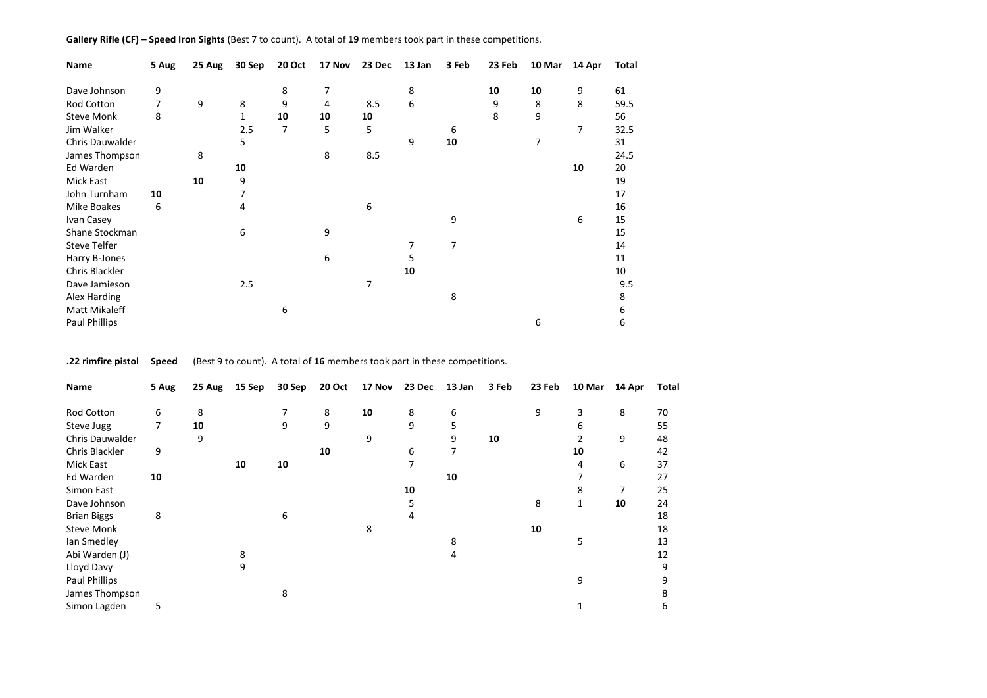## **Gallery Rifle (CF) – Speed Iron Sights** (Best 7 to count). A total of **19** members took part in these competitions.

| Name                | 5 Aug | 25 Aug | 30 Sep       | 20 Oct | 17 Nov         | 23 Dec | 13 Jan | 3 Feb | 23 Feb | 10 Mar | 14 Apr | Total |
|---------------------|-------|--------|--------------|--------|----------------|--------|--------|-------|--------|--------|--------|-------|
| Dave Johnson        | 9     |        |              | 8      | $\overline{7}$ |        | 8      |       | 10     | 10     | 9      | 61    |
| Rod Cotton          | 7     | 9      | 8            | 9      | 4              | 8.5    | 6      |       | 9      | 8      | 8      | 59.5  |
| <b>Steve Monk</b>   | 8     |        | $\mathbf{1}$ | 10     | 10             | 10     |        |       | 8      | 9      |        | 56    |
| Jim Walker          |       |        | 2.5          | 7      | 5              | 5      |        | 6     |        |        | 7      | 32.5  |
| Chris Dauwalder     |       |        | 5.           |        |                |        | 9      | 10    |        | 7      |        | 31    |
| James Thompson      |       | 8      |              |        | 8              | 8.5    |        |       |        |        |        | 24.5  |
| Ed Warden           |       |        | 10           |        |                |        |        |       |        |        | 10     | 20    |
| Mick East           |       | 10     | 9            |        |                |        |        |       |        |        |        | 19    |
| John Turnham        | 10    |        | 7            |        |                |        |        |       |        |        |        | 17    |
| Mike Boakes         | 6     |        | 4            |        |                | 6      |        |       |        |        |        | 16    |
| Ivan Casey          |       |        |              |        |                |        |        | 9     |        |        | 6      | 15    |
| Shane Stockman      |       |        | 6            |        | 9              |        |        |       |        |        |        | 15    |
| <b>Steve Telfer</b> |       |        |              |        |                |        | 7      | 7     |        |        |        | 14    |
| Harry B-Jones       |       |        |              |        | 6              |        | 5      |       |        |        |        | 11    |
| Chris Blackler      |       |        |              |        |                |        | 10     |       |        |        |        | 10    |
| Dave Jamieson       |       |        | 2.5          |        |                | 7      |        |       |        |        |        | 9.5   |
| Alex Harding        |       |        |              |        |                |        |        | 8     |        |        |        | 8     |
| Matt Mikaleff       |       |        |              | 6      |                |        |        |       |        |        |        | 6     |
| Paul Phillips       |       |        |              |        |                |        |        |       |        | 6      |        | 6     |

**.22 rimfire pistol Speed** (Best 9 to count). A total of **16** members took part in these competitions.

| Name               | 5 Aug | 25 Aug | 15 Sep | 30 Sep | 20 Oct | 17 Nov | 23 Dec | 13 Jan | 3 Feb | 23 Feb | 10 Mar | 14 Apr | Total |
|--------------------|-------|--------|--------|--------|--------|--------|--------|--------|-------|--------|--------|--------|-------|
| Rod Cotton         | 6     | 8      |        | 7      | 8      | 10     | 8      | 6      |       | 9      | 3      | 8      | 70    |
|                    |       |        |        |        |        |        |        |        |       |        |        |        |       |
| Steve Jugg         | 7     | 10     |        | 9      | 9      |        | 9      | 5      |       |        | 6      |        | 55    |
| Chris Dauwalder    |       | 9      |        |        |        | 9      |        | 9      | 10    |        |        | 9      | 48    |
| Chris Blackler     | 9     |        |        |        | 10     |        | 6      | 7      |       |        | 10     |        | 42    |
| Mick East          |       |        | 10     | 10     |        |        | 7      |        |       |        | 4      | 6      | 37    |
| Ed Warden          | 10    |        |        |        |        |        |        | 10     |       |        |        |        | 27    |
| Simon East         |       |        |        |        |        |        | 10     |        |       |        | 8      | 7      | 25    |
| Dave Johnson       |       |        |        |        |        |        | 5      |        |       | 8      | 1      | 10     | 24    |
| <b>Brian Biggs</b> | 8     |        |        | 6      |        |        | 4      |        |       |        |        |        | 18    |
| Steve Monk         |       |        |        |        |        | 8      |        |        |       | 10     |        |        | 18    |
| Ian Smedley        |       |        |        |        |        |        |        | 8      |       |        | 5      |        | 13    |
| Abi Warden (J)     |       |        | 8      |        |        |        |        | 4      |       |        |        |        | 12    |
| Lloyd Davy         |       |        | 9      |        |        |        |        |        |       |        |        |        | 9     |
| Paul Phillips      |       |        |        |        |        |        |        |        |       |        | 9      |        | 9     |
| James Thompson     |       |        |        | 8      |        |        |        |        |       |        |        |        | 8     |
| Simon Lagden       | 5     |        |        |        |        |        |        |        |       |        |        |        | 6     |